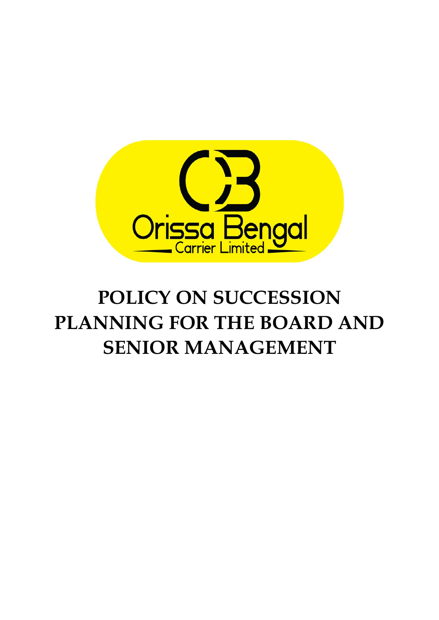

# **POLICY ON SUCCESSION PLANNING FOR THE BOARD AND SENIOR MANAGEMENT**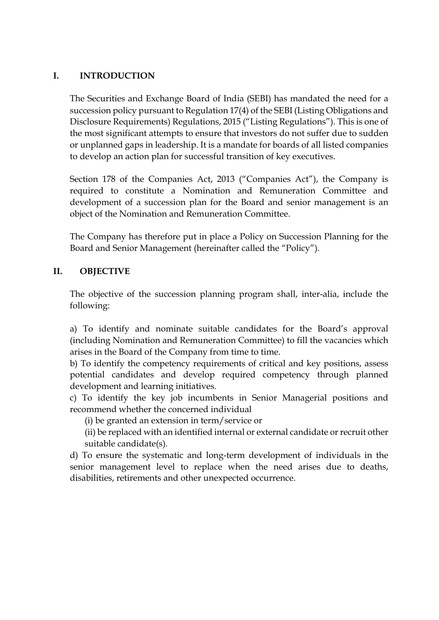## **I. INTRODUCTION**

The Securities and Exchange Board of India (SEBI) has mandated the need for a succession policy pursuant to Regulation 17(4) of the SEBI (Listing Obligations and Disclosure Requirements) Regulations, 2015 ("Listing Regulations"). This is one of the most significant attempts to ensure that investors do not suffer due to sudden or unplanned gaps in leadership. It is a mandate for boards of all listed companies to develop an action plan for successful transition of key executives.

Section 178 of the Companies Act, 2013 ("Companies Act"), the Company is required to constitute a Nomination and Remuneration Committee and development of a succession plan for the Board and senior management is an object of the Nomination and Remuneration Committee.

The Company has therefore put in place a Policy on Succession Planning for the Board and Senior Management (hereinafter called the "Policy").

### **II. OBJECTIVE**

The objective of the succession planning program shall, inter-alia, include the following:

a) To identify and nominate suitable candidates for the Board's approval (including Nomination and Remuneration Committee) to fill the vacancies which arises in the Board of the Company from time to time.

b) To identify the competency requirements of critical and key positions, assess potential candidates and develop required competency through planned development and learning initiatives.

c) To identify the key job incumbents in Senior Managerial positions and recommend whether the concerned individual

(i) be granted an extension in term/service or

(ii) be replaced with an identified internal or external candidate or recruit other suitable candidate(s).

d) To ensure the systematic and long-term development of individuals in the senior management level to replace when the need arises due to deaths, disabilities, retirements and other unexpected occurrence.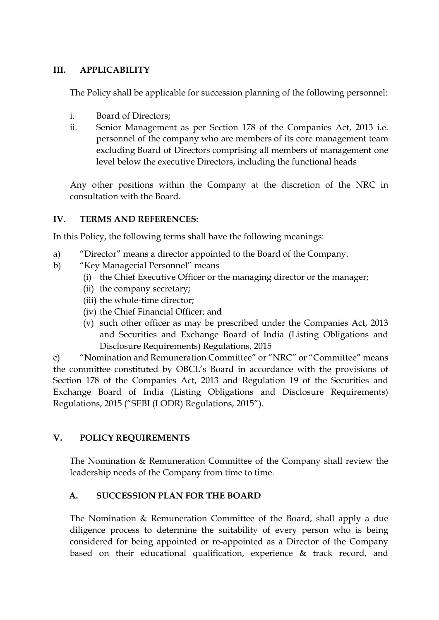### **III. APPLICABILITY**

The Policy shall be applicable for succession planning of the following personnel:

- i. Board of Directors;
- ii. Senior Management as per Section 178 of the Companies Act, 2013 i.e. personnel of the company who are members of its core management team excluding Board of Directors comprising all members of management one level below the executive Directors, including the functional heads

Any other positions within the Company at the discretion of the NRC in consultation with the Board.

## **IV. TERMS AND REFERENCES:**

In this Policy, the following terms shall have the following meanings:

- a) "Director" means a director appointed to the Board of the Company.
- b) "Key Managerial Personnel" means
	- (i) the Chief Executive Officer or the managing director or the manager;
	- (ii) the company secretary;
	- (iii) the whole-time director;
	- (iv) the Chief Financial Officer; and
	- (v) such other officer as may be prescribed under the Companies Act, 2013 and Securities and Exchange Board of India (Listing Obligations and Disclosure Requirements) Regulations, 2015

c) "Nomination and Remuneration Committee" or "NRC" or "Committee" means the committee constituted by OBCL's Board in accordance with the provisions of Section 178 of the Companies Act, 2013 and Regulation 19 of the Securities and Exchange Board of India (Listing Obligations and Disclosure Requirements) Regulations, 2015 ("SEBI (LODR) Regulations, 2015").

## **V. POLICY REQUIREMENTS**

The Nomination & Remuneration Committee of the Company shall review the leadership needs of the Company from time to time.

## **A. SUCCESSION PLAN FOR THE BOARD**

The Nomination & Remuneration Committee of the Board, shall apply a due diligence process to determine the suitability of every person who is being considered for being appointed or re-appointed as a Director of the Company based on their educational qualification, experience & track record, and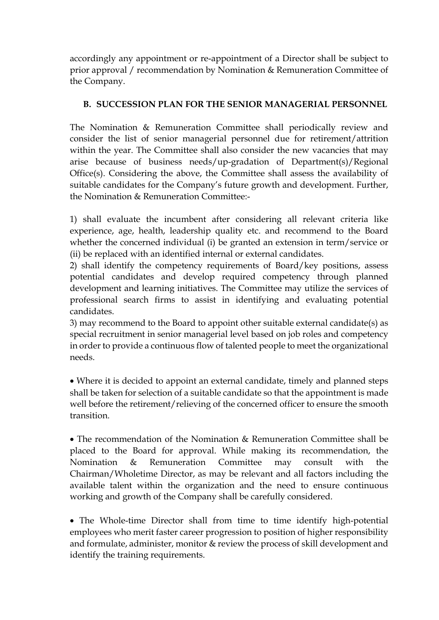accordingly any appointment or re-appointment of a Director shall be subject to prior approval / recommendation by Nomination & Remuneration Committee of the Company.

## **B. SUCCESSION PLAN FOR THE SENIOR MANAGERIAL PERSONNEL**

The Nomination & Remuneration Committee shall periodically review and consider the list of senior managerial personnel due for retirement/attrition within the year. The Committee shall also consider the new vacancies that may arise because of business needs/up-gradation of Department(s)/Regional Office(s). Considering the above, the Committee shall assess the availability of suitable candidates for the Company's future growth and development. Further, the Nomination & Remuneration Committee:-

1) shall evaluate the incumbent after considering all relevant criteria like experience, age, health, leadership quality etc. and recommend to the Board whether the concerned individual (i) be granted an extension in term/service or (ii) be replaced with an identified internal or external candidates.

2) shall identify the competency requirements of Board/key positions, assess potential candidates and develop required competency through planned development and learning initiatives. The Committee may utilize the services of professional search firms to assist in identifying and evaluating potential candidates.

3) may recommend to the Board to appoint other suitable external candidate(s) as special recruitment in senior managerial level based on job roles and competency in order to provide a continuous flow of talented people to meet the organizational needs.

• Where it is decided to appoint an external candidate, timely and planned steps shall be taken for selection of a suitable candidate so that the appointment is made well before the retirement/relieving of the concerned officer to ensure the smooth transition.

• The recommendation of the Nomination & Remuneration Committee shall be placed to the Board for approval. While making its recommendation, the Nomination & Remuneration Committee may consult with the Chairman/Wholetime Director, as may be relevant and all factors including the available talent within the organization and the need to ensure continuous working and growth of the Company shall be carefully considered.

• The Whole-time Director shall from time to time identify high-potential employees who merit faster career progression to position of higher responsibility and formulate, administer, monitor & review the process of skill development and identify the training requirements.